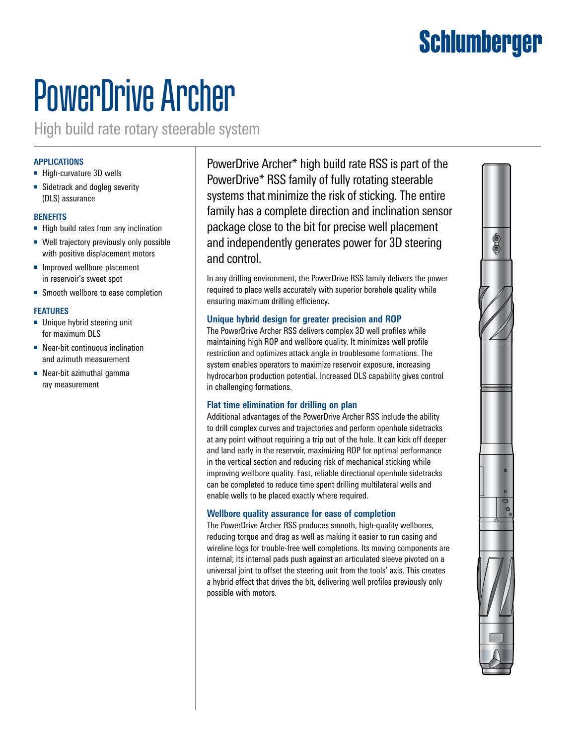# Schlumberger

# PowerDrive Archer

High build rate rotary steerable system

# **APPLICATIONS**

- High-curvature 3D wells
- Sidetrack and dogleg severity (DLS) assurance

#### **BENEFITS**

- High build rates from any inclination
- Well trajectory previously only possible with positive displacement motors
- Improved wellbore placement in reservoir's sweet spot
- Smooth wellbore to ease completion

#### **FEATURES**

- Unique hybrid steering unit for maximum DLS
- Near-bit continuous inclination and azimuth measurement
- Near-bit azimuthal gamma ray measurement

PowerDrive Archer\* high build rate RSS is part of the PowerDrive\* RSS family of fully rotating steerable systems that minimize the risk of sticking. The entire family has a complete direction and inclination sensor package close to the bit for precise well placement and independently generates power for 3D steering and control.

In any drilling environment, the PowerDrive RSS family delivers the power required to place wells accurately with superior borehole quality while ensuring maximum drilling efficiency.

# **Unique hybrid design for greater precision and ROP**

The PowerDrive Archer RSS delivers complex 3D well profiles while maintaining high ROP and wellbore quality. It minimizes well profile restriction and optimizes attack angle in troublesome formations. The system enables operators to maximize reservoir exposure, increasing hydrocarbon production potential. Increased DLS capability gives control in challenging formations.

# **Flat time elimination for drilling on plan**

Additional advantages of the PowerDrive Archer RSS include the ability to drill complex curves and trajectories and perform openhole sidetracks at any point without requiring a trip out of the hole. It can kick off deeper and land early in the reservoir, maximizing ROP for optimal performance in the vertical section and reducing risk of mechanical sticking while improving wellbore quality. Fast, reliable directional openhole sidetracks can be completed to reduce time spent drilling multilateral wells and enable wells to be placed exactly where required.

# **Wellbore quality assurance for ease of completion**

The PowerDrive Archer RSS produces smooth, high-quality wellbores, reducing torque and drag as well as making it easier to run casing and wireline logs for trouble-free well completions. Its moving components are internal; its internal pads push against an articulated sleeve pivoted on a universal joint to offset the steering unit from the tools' axis. This creates a hybrid effect that drives the bit, delivering well profiles previously only possible with motors.